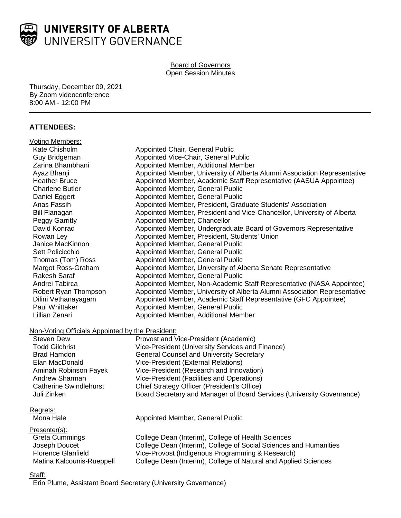

#### Board of Governors Open Session Minutes

Thursday, December 09, 2021 By Zoom videoconference 8:00 AM - 12:00 PM

# **ATTENDEES:**

| Voting Members:                                  |                                                                           |
|--------------------------------------------------|---------------------------------------------------------------------------|
| Kate Chisholm                                    | Appointed Chair, General Public                                           |
| Guy Bridgeman                                    | Appointed Vice-Chair, General Public                                      |
| Zarina Bhambhani                                 | Appointed Member, Additional Member                                       |
| Ayaz Bhanji                                      | Appointed Member, University of Alberta Alumni Association Representative |
| <b>Heather Bruce</b>                             | Appointed Member, Academic Staff Representative (AASUA Appointee)         |
| <b>Charlene Butler</b>                           | Appointed Member, General Public                                          |
| Daniel Eggert                                    | Appointed Member, General Public                                          |
| Anas Fassih                                      | Appointed Member, President, Graduate Students' Association               |
| <b>Bill Flanagan</b>                             | Appointed Member, President and Vice-Chancellor, University of Alberta    |
| Peggy Garritty                                   | Appointed Member, Chancellor                                              |
| David Konrad                                     | Appointed Member, Undergraduate Board of Governors Representative         |
| Rowan Ley                                        | Appointed Member, President, Students' Union                              |
| Janice MacKinnon                                 | Appointed Member, General Public                                          |
| Sett Policicchio                                 | Appointed Member, General Public                                          |
| Thomas (Tom) Ross                                | Appointed Member, General Public                                          |
| Margot Ross-Graham                               | Appointed Member, University of Alberta Senate Representative             |
| Rakesh Saraf                                     | Appointed Member, General Public                                          |
| Andrei Tabirca                                   | Appointed Member, Non-Academic Staff Representative (NASA Appointee)      |
| Robert Ryan Thompson                             | Appointed Member, University of Alberta Alumni Association Representative |
| Dilini Vethanayagam                              | Appointed Member, Academic Staff Representative (GFC Appointee)           |
| Paul Whittaker                                   | Appointed Member, General Public                                          |
| Lillian Zenari                                   | Appointed Member, Additional Member                                       |
|                                                  |                                                                           |
| Non-Voting Officials Appointed by the President: |                                                                           |
| <b>Steven Dew</b>                                | Provost and Vice-President (Academic)                                     |
| <b>Todd Gilchrist</b>                            | Vice-President (University Services and Finance)                          |
| <b>Brad Hamdon</b>                               | <b>General Counsel and University Secretary</b>                           |
| Elan MacDonald                                   | Vice-President (External Relations)                                       |
| Aminah Robinson Fayek                            | Vice-President (Research and Innovation)                                  |
| Andrew Sharman                                   | Vice-President (Facilities and Operations)                                |
| <b>Catherine Swindlehurst</b>                    | Chief Strategy Officer (President's Office)                               |
| Juli Zinken                                      | Board Secretary and Manager of Board Services (University Governance)     |
| Regrets:                                         |                                                                           |
| Mona Hale                                        | Appointed Member, General Public                                          |
| Presenter(s):                                    |                                                                           |
| <b>Greta Cummings</b>                            | College Dean (Interim), College of Health Sciences                        |
| Joseph Doucet                                    | College Dean (Interim), College of Social Sciences and Humanities         |
| <b>Florence Glanfield</b>                        | Vice-Provost (Indigenous Programming & Research)                          |
| Matina Kalcounis-Rueppell                        | College Dean (Interim), College of Natural and Applied Sciences           |

#### Staff:

Erin Plume, Assistant Board Secretary (University Governance)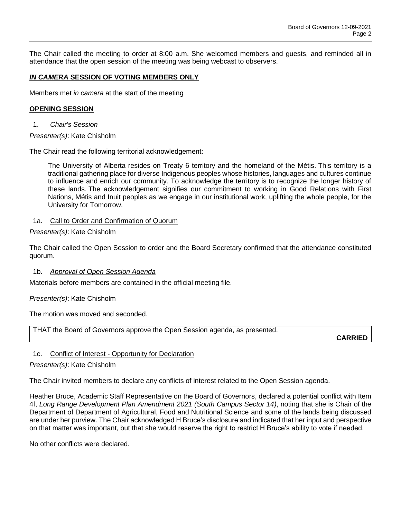The Chair called the meeting to order at 8:00 a.m. She welcomed members and guests, and reminded all in attendance that the open session of the meeting was being webcast to observers.

### *IN CAMERA* **SESSION OF VOTING MEMBERS ONLY**

Members met *in camera* at the start of the meeting

#### **OPENING SESSION**

1. *Chair's Session*

*Presenter(s)*: Kate Chisholm

The Chair read the following territorial acknowledgement:

The University of Alberta resides on Treaty 6 territory and the homeland of the Métis. This territory is a traditional gathering place for diverse Indigenous peoples whose histories, languages and cultures continue to influence and enrich our community. To acknowledge the territory is to recognize the longer history of these lands. The acknowledgement signifies our commitment to working in Good Relations with First Nations, Métis and Inuit peoples as we engage in our institutional work, uplifting the whole people, for the University for Tomorrow.

### 1a. Call to Order and Confirmation of Quorum

*Presenter(s)*: Kate Chisholm

The Chair called the Open Session to order and the Board Secretary confirmed that the attendance constituted quorum.

#### 1b. *Approval of Open Session Agenda*

Materials before members are contained in the official meeting file.

*Presenter(s)*: Kate Chisholm

The motion was moved and seconded.

THAT the Board of Governors approve the Open Session agenda, as presented.

**CARRIED**

### 1c. Conflict of Interest - Opportunity for Declaration

### *Presenter(s)*: Kate Chisholm

The Chair invited members to declare any conflicts of interest related to the Open Session agenda.

Heather Bruce, Academic Staff Representative on the Board of Governors, declared a potential conflict with Item 4f, *Long Range Development Plan Amendment 2021 (South Campus Sector 14)*, noting that she is Chair of the Department of Department of Agricultural, Food and Nutritional Science and some of the lands being discussed are under her purview. The Chair acknowledged H Bruce's disclosure and indicated that her input and perspective on that matter was important, but that she would reserve the right to restrict H Bruce's ability to vote if needed.

No other conflicts were declared.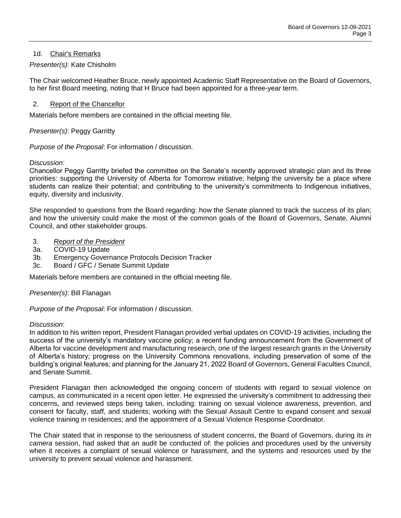## 1d. Chair's Remarks

## *Presenter(s)*: Kate Chisholm

The Chair welcomed Heather Bruce, newly appointed Academic Staff Representative on the Board of Governors, to her first Board meeting, noting that H Bruce had been appointed for a three-year term.

### 2. Report of the Chancellor

Materials before members are contained in the official meeting file.

### *Presenter(s)*: Peggy Garritty

*Purpose of the Proposal*: For information / discussion.

#### *Discussion*:

Chancellor Peggy Garritty briefed the committee on the Senate's recently approved strategic plan and its three priorities: supporting the University of Alberta for Tomorrow initiative; helping the university be a place where students can realize their potential; and contributing to the university's commitments to Indigenous initiatives, equity, diversity and inclusivity.

She responded to questions from the Board regarding: how the Senate planned to track the success of its plan; and how the university could make the most of the common goals of the Board of Governors, Senate, Alumni Council, and other stakeholder groups.

- 3. *Report of the President*
- 3a. COVID-19 Update
- 3b. Emergency Governance Protocols Decision Tracker
- 3c. Board / GFC / Senate Summit Update

Materials before members are contained in the official meeting file.

### *Presenter(s)*: Bill Flanagan

*Purpose of the Proposal*: For information / discussion.

#### *Discussion*:

In addition to his written report, President Flanagan provided verbal updates on COVID-19 activities, including the success of the university's mandatory vaccine policy; a recent funding announcement from the Government of Alberta for vaccine development and manufacturing research, one of the largest research grants in the University of Alberta's history; progress on the University Commons renovations, including preservation of some of the building's original features; and planning for the January 21, 2022 Board of Governors, General Faculties Council, and Senate Summit.

President Flanagan then acknowledged the ongoing concern of students with regard to sexual violence on campus, as communicated in a recent open letter. He expressed the university's commitment to addressing their concerns, and reviewed steps being taken, including: training on sexual violence awareness, prevention, and consent for faculty, staff, and students; working with the Sexual Assault Centre to expand consent and sexual violence training in residences; and the appointment of a Sexual Violence Response Coordinator.

The Chair stated that in response to the seriousness of student concerns, the Board of Governors, during its *in camera* session, had asked that an audit be conducted of: the policies and procedures used by the university when it receives a complaint of sexual violence or harassment, and the systems and resources used by the university to prevent sexual violence and harassment.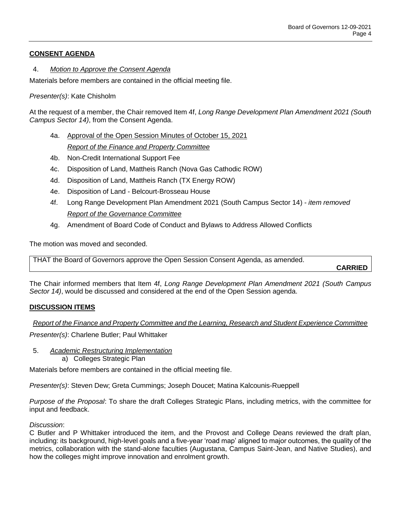# **CONSENT AGENDA**

### 4. *Motion to Approve the Consent Agenda*

Materials before members are contained in the official meeting file.

*Presenter(s)*: Kate Chisholm

At the request of a member, the Chair removed Item 4f, *Long Range Development Plan Amendment 2021 (South Campus Sector 14)*, from the Consent Agenda.

- 4a. Approval of the Open Session Minutes of October 15, 2021 *Report of the Finance and Property Committee*
- 4b. Non-Credit International Support Fee
- 4c. Disposition of Land, Mattheis Ranch (Nova Gas Cathodic ROW)
- 4d. Disposition of Land, Mattheis Ranch (TX Energy ROW)
- 4e. Disposition of Land Belcourt-Brosseau House
- 4f. Long Range Development Plan Amendment 2021 (South Campus Sector 14) *- item removed Report of the Governance Committee*
- 4g. Amendment of Board Code of Conduct and Bylaws to Address Allowed Conflicts

The motion was moved and seconded.

THAT the Board of Governors approve the Open Session Consent Agenda, as amended.

**CARRIED**

The Chair informed members that Item 4f, *Long Range Development Plan Amendment 2021 (South Campus Sector 14)*, would be discussed and considered at the end of the Open Session agenda.

# **DISCUSSION ITEMS**

*Report of the Finance and Property Committee and the Learning, Research and Student Experience Committee*

*Presenter(s)*: Charlene Butler; Paul Whittaker

5. *Academic Restructuring Implementation* a) Colleges Strategic Plan

Materials before members are contained in the official meeting file.

*Presenter(s)*: Steven Dew; Greta Cummings; Joseph Doucet; Matina Kalcounis-Rueppell

*Purpose of the Proposal*: To share the draft Colleges Strategic Plans, including metrics, with the committee for input and feedback.

### *Discussion*:

C Butler and P Whittaker introduced the item, and the Provost and College Deans reviewed the draft plan, including: its background, high-level goals and a five-year 'road map' aligned to major outcomes, the quality of the metrics, collaboration with the stand-alone faculties (Augustana, Campus Saint-Jean, and Native Studies), and how the colleges might improve innovation and enrolment growth.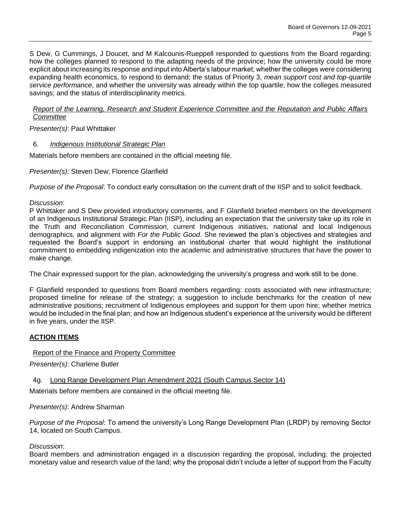S Dew, G Cummings, J Doucet, and M Kalcounis-Rueppell responded to questions from the Board regarding: how the colleges planned to respond to the adapting needs of the province; how the university could be more explicit about increasing its response and input into Alberta's labour market; whether the colleges were considering expanding health economics, to respond to demand; the status of Priority 3, *mean support cost and top-quartile service performance*, and whether the university was already within the top quartile; how the colleges measured savings; and the status of interdisciplinarity metrics.

### *Report of the Learning, Research and Student Experience Committee and the Reputation and Public Affairs Committee*

*Presenter(s)*: Paul Whittaker

### 6. *Indigenous Institutional Strategic Plan*

Materials before members are contained in the official meeting file.

*Presenter(s)*: Steven Dew; Florence Glanfield

*Purpose of the Proposal*: To conduct early consultation on the current draft of the IISP and to solicit feedback.

*Discussion*:

P Whittaker and S Dew provided introductory comments, and F Glanfield briefed members on the development of an Indigenous Institutional Strategic Plan (IISP), including an expectation that the university take up its role in the Truth and Reconciliation Commission, current Indigenous initiatives, national and local Indigenous demographics, and alignment with *For the Public Good*. She reviewed the plan's objectives and strategies and requested the Board's support in endorsing an institutional charter that would highlight the institutional commitment to embedding indigenization into the academic and administrative structures that have the power to make change.

The Chair expressed support for the plan, acknowledging the university's progress and work still to be done.

F Glanfield responded to questions from Board members regarding: costs associated with new infrastructure; proposed timeline for release of the strategy; a suggestion to include benchmarks for the creation of new administrative positions; recruitment of Indigenous employees and support for them upon hire; whether metrics would be included in the final plan; and how an Indigenous student's experience at the university would be different in five years, under the IISP.

# **ACTION ITEMS**

# Report of the Finance and Property Committee

*Presenter(s)*: Charlene Butler

# 4g. Long Range Development Plan Amendment 2021 (South Campus Sector 14)

Materials before members are contained in the official meeting file.

### *Presenter(s)*: Andrew Sharman

*Purpose of the Proposal*: To amend the university's Long Range Development Plan (LRDP) by removing Sector 14, located on South Campus.

### *Discussion*:

Board members and administration engaged in a discussion regarding the proposal, including: the projected monetary value and research value of the land; why the proposal didn't include a letter of support from the Faculty